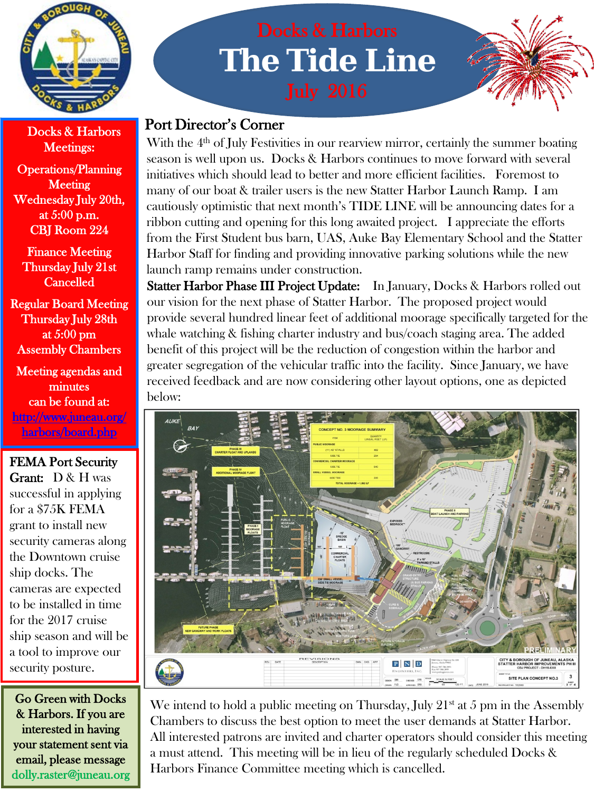

Meetings:

Operations/Planning **Meeting** Wednesday July 20th, at 5:00 p.m. CBJ Room 224

Finance Meeting Thursday July 21st Cancelled

Regular Board Meeting Thursday July 28th at 5:00 pm Assembly Chambers

Meeting agendas and minutes can be found at: [http://www.juneau.org/](http://www.juneau.org/harbors/board.php)  [harbors/board.php](http://www.juneau.org/harbors/board.php)

FEMA Port Security Grant: D & H was successful in applying for a \$75K FEMA grant to install new security cameras along the Downtown cruise ship docks. The cameras are expected to be installed in time for the 2017 cruise ship season and will be a tool to improve our security posture.

Go Green with Docks & Harbors. If you are interested in having your statement sent via email, please message dolly.raster@juneau.org

# **The Tide Line**



# **Docks & Harbors** Port Director's Corner

With the  $4<sup>th</sup>$  of July Festivities in our rearview mirror, certainly the summer boating season is well upon us. Docks & Harbors continues to move forward with several initiatives which should lead to better and more efficient facilities. Foremost to many of our boat & trailer users is the new Statter Harbor Launch Ramp. I am cautiously optimistic that next month's TIDE LINE will be announcing dates for a ribbon cutting and opening for this long awaited project. I appreciate the efforts from the First Student bus barn, UAS, Auke Bay Elementary School and the Statter Harbor Staff for finding and providing innovative parking solutions while the new launch ramp remains under construction.

Statter Harbor Phase III Project Update: In January, Docks & Harbors rolled out our vision for the next phase of Statter Harbor. The proposed project would provide several hundred linear feet of additional moorage specifically targeted for the whale watching & fishing charter industry and bus/coach staging area. The added benefit of this project will be the reduction of congestion within the harbor and greater segregation of the vehicular traffic into the facility. Since January, we have received feedback and are now considering other layout options, one as depicted below:



We intend to hold a public meeting on Thursday, July  $21<sup>st</sup>$  at 5 pm in the Assembly Chambers to discuss the best option to meet the user demands at Statter Harbor. All interested patrons are invited and charter operators should consider this meeting a must attend. This meeting will be in lieu of the regularly scheduled Docks & Harbors Finance Committee meeting which is cancelled.